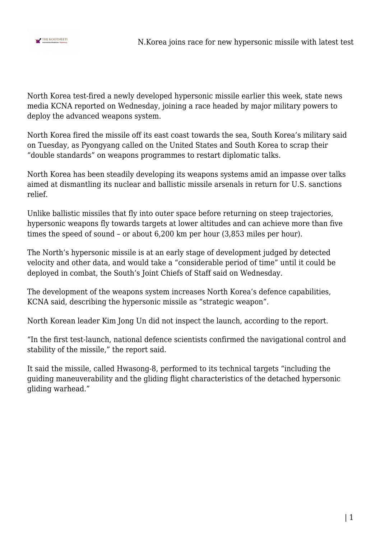

North Korea test-fired a newly developed hypersonic missile earlier this week, state news media KCNA reported on Wednesday, joining a race headed by major military powers to deploy the advanced weapons system.

North Korea fired the missile off its east coast towards the sea, South Korea's military said on Tuesday, as Pyongyang called on the United States and South Korea to scrap their "double standards" on weapons programmes to restart diplomatic talks.

North Korea has been steadily developing its weapons systems amid an impasse over talks aimed at dismantling its nuclear and ballistic missile arsenals in return for U.S. sanctions relief.

Unlike ballistic missiles that fly into outer space before returning on steep trajectories, hypersonic weapons fly towards targets at lower altitudes and can achieve more than five times the speed of sound – or about 6,200 km per hour (3,853 miles per hour).

The North's hypersonic missile is at an early stage of development judged by detected velocity and other data, and would take a "considerable period of time" until it could be deployed in combat, the South's Joint Chiefs of Staff said on Wednesday.

The development of the weapons system increases North Korea's defence capabilities, KCNA said, describing the hypersonic missile as "strategic weapon".

North Korean leader Kim Jong Un did not inspect the launch, according to the report.

"In the first test-launch, national defence scientists confirmed the navigational control and stability of the missile," the report said.

It said the missile, called Hwasong-8, performed to its technical targets "including the guiding maneuverability and the gliding flight characteristics of the detached hypersonic gliding warhead."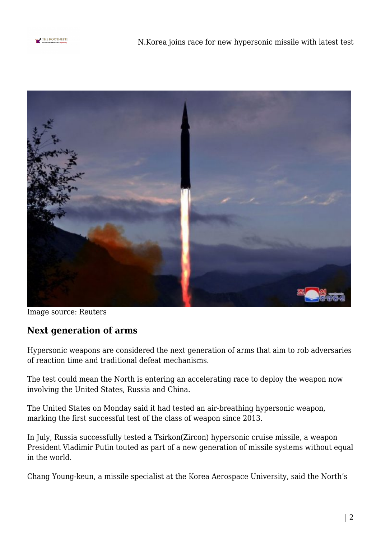



Image source: Reuters

## **Next generation of arms**

Hypersonic weapons are considered the next generation of arms that aim to rob adversaries of reaction time and traditional defeat mechanisms.

The test could mean the North is entering an accelerating race to deploy the weapon now involving the United States, Russia and China.

The United States on Monday said it had tested an air-breathing hypersonic weapon, marking the first successful test of the class of weapon since 2013.

In July, Russia successfully tested a Tsirkon(Zircon) hypersonic cruise missile, a weapon President Vladimir Putin touted as part of a new generation of missile systems without equal in the world.

Chang Young-keun, a missile specialist at the Korea Aerospace University, said the North's